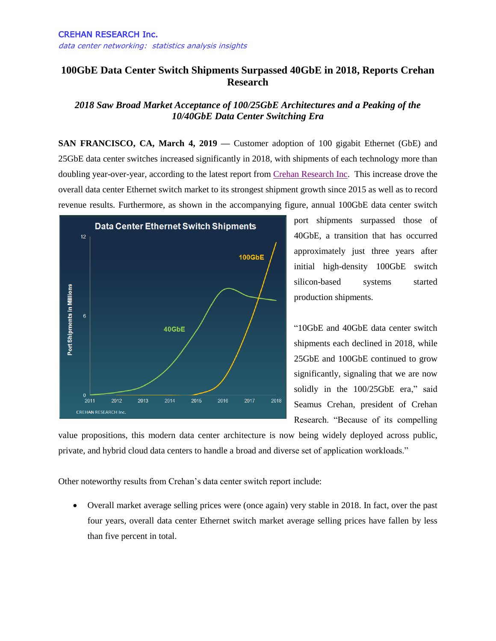## **100GbE Data Center Switch Shipments Surpassed 40GbE in 2018, Reports Crehan Research**

## *2018 Saw Broad Market Acceptance of 100/25GbE Architectures and a Peaking of the 10/40GbE Data Center Switching Era*

**SAN FRANCISCO, CA, March 4, 2019 —** Customer adoption of 100 gigabit Ethernet (GbE) and 25GbE data center switches increased significantly in 2018, with shipments of each technology more than doubling year-over-year, according to the latest report from [Crehan Research Inc.](http://www.crehanresearch.com/) This increase drove the overall data center Ethernet switch market to its strongest shipment growth since 2015 as well as to record revenue results. Furthermore, as shown in the accompanying figure, annual 100GbE data center switch



port shipments surpassed those of 40GbE, a transition that has occurred approximately just three years after initial high-density 100GbE switch silicon-based systems started production shipments.

"10GbE and 40GbE data center switch shipments each declined in 2018, while 25GbE and 100GbE continued to grow significantly, signaling that we are now solidly in the 100/25GbE era," said Seamus Crehan, president of Crehan Research. "Because of its compelling

value propositions, this modern data center architecture is now being widely deployed across public, private, and hybrid cloud data centers to handle a broad and diverse set of application workloads."

Other noteworthy results from Crehan's data center switch report include:

 Overall market average selling prices were (once again) very stable in 2018. In fact, over the past four years, overall data center Ethernet switch market average selling prices have fallen by less than five percent in total.